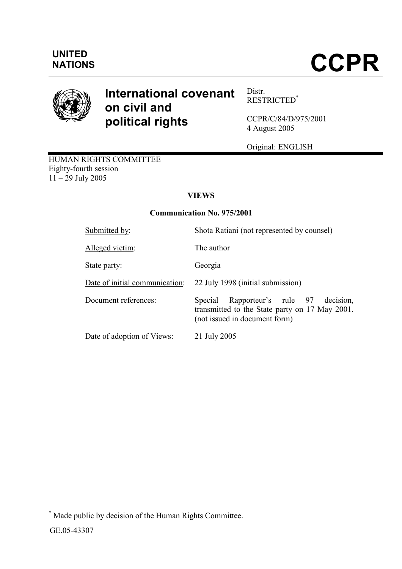

# International covenant on civil and political rights

Distr. RESTRICTED\*

CCPR/C/84/D/975/2001 4 August 2005

Original: ENGLISH

HUMAN RIGHTS COMMITTEE Eighty-fourth session  $11 - 29$  July 2005

## **VIEWS**

## Communication No. 975/2001

| Submitted by:                  | Shota Ratiani (not represented by counsel)                                                                                      |
|--------------------------------|---------------------------------------------------------------------------------------------------------------------------------|
| Alleged victim:                | The author                                                                                                                      |
| State party:                   | Georgia                                                                                                                         |
| Date of initial communication: | 22 July 1998 (initial submission)                                                                                               |
| Document references:           | Rapporteur's rule 97<br>decision.<br>Special<br>transmitted to the State party on 17 May 2001.<br>(not issued in document form) |
| Date of adoption of Views:     | 21 July 2005                                                                                                                    |

 \* Made public by decision of the Human Rights Committee.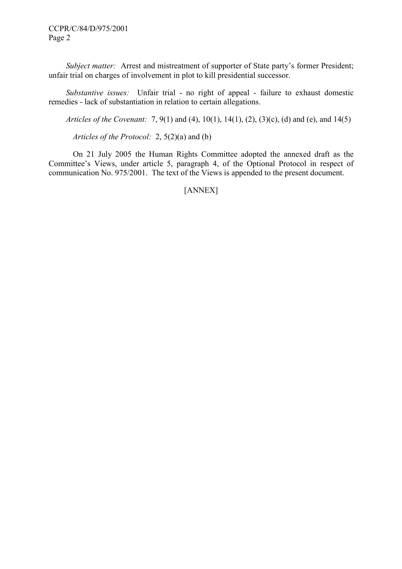Subject matter: Arrest and mistreatment of supporter of State party's former President; unfair trial on charges of involvement in plot to kill presidential successor.

Substantive issues: Unfair trial - no right of appeal - failure to exhaust domestic remedies - lack of substantiation in relation to certain allegations.

Articles of the Covenant: 7, 9(1) and (4), 10(1), 14(1), (2), (3)(c), (d) and (e), and 14(5)

Articles of the Protocol: 2, 5(2)(a) and (b)

On 21 July 2005 the Human Rights Committee adopted the annexed draft as the Committee's Views, under article 5, paragraph 4, of the Optional Protocol in respect of communication No. 975/2001. The text of the Views is appended to the present document.

[ANNEX]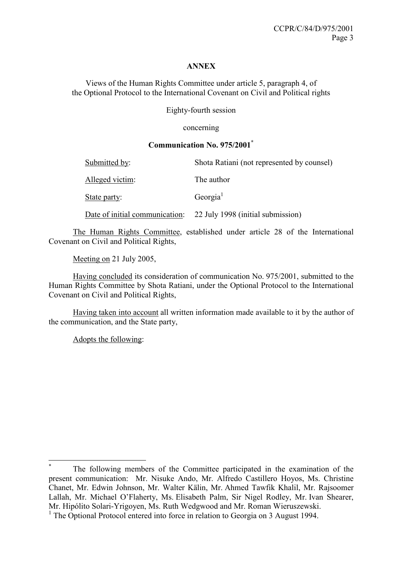#### ANNEX

Views of the Human Rights Committee under article 5, paragraph 4, of the Optional Protocol to the International Covenant on Civil and Political rights

Eighty-fourth session

concerning

#### Communication No. 975/2001\*

| Submitted by:   | Shota Ratiani (not represented by counsel)                       |
|-----------------|------------------------------------------------------------------|
| Alleged victim: | The author                                                       |
| State party:    | Georgia                                                          |
|                 | Date of initial communication: 22 July 1998 (initial submission) |

The Human Rights Committee, established under article 28 of the International Covenant on Civil and Political Rights,

Meeting on 21 July 2005,

 Having concluded its consideration of communication No. 975/2001, submitted to the Human Rights Committee by Shota Ratiani, under the Optional Protocol to the International Covenant on Civil and Political Rights,

 Having taken into account all written information made available to it by the author of the communication, and the State party,

Adopts the following:

 $\overline{a}$ 

<sup>\*</sup> The following members of the Committee participated in the examination of the present communication: Mr. Nisuke Ando, Mr. Alfredo Castillero Hoyos, Ms. Christine Chanet, Mr. Edwin Johnson, Mr. Walter Kälin, Mr. Ahmed Tawfik Khalil, Mr. Rajsoomer Lallah, Mr. Michael O'Flaherty, Ms. Elisabeth Palm, Sir Nigel Rodley, Mr. Ivan Shearer, Mr. Hipólito Solari-Yrigoyen, Ms. Ruth Wedgwood and Mr. Roman Wieruszewski.

<sup>&</sup>lt;sup>1</sup> The Optional Protocol entered into force in relation to Georgia on 3 August 1994.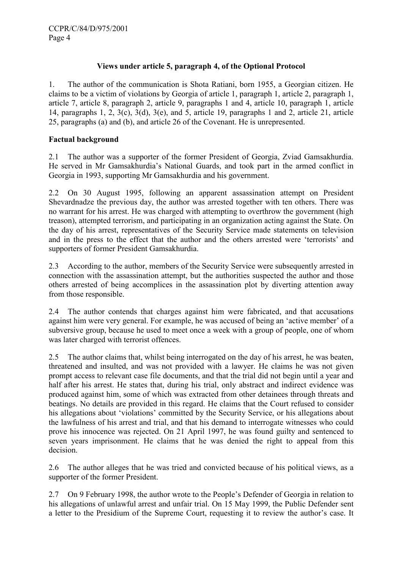## Views under article 5, paragraph 4, of the Optional Protocol

1. The author of the communication is Shota Ratiani, born 1955, a Georgian citizen. He claims to be a victim of violations by Georgia of article 1, paragraph 1, article 2, paragraph 1, article 7, article 8, paragraph 2, article 9, paragraphs 1 and 4, article 10, paragraph 1, article 14, paragraphs 1, 2, 3(c), 3(d), 3(e), and 5, article 19, paragraphs 1 and 2, article 21, article 25, paragraphs (a) and (b), and article 26 of the Covenant. He is unrepresented.

## Factual background

2.1 The author was a supporter of the former President of Georgia, Zviad Gamsakhurdia. He served in Mr Gamsakhurdia's National Guards, and took part in the armed conflict in Georgia in 1993, supporting Mr Gamsakhurdia and his government.

2.2 On 30 August 1995, following an apparent assassination attempt on President Shevardnadze the previous day, the author was arrested together with ten others. There was no warrant for his arrest. He was charged with attempting to overthrow the government (high treason), attempted terrorism, and participating in an organization acting against the State. On the day of his arrest, representatives of the Security Service made statements on television and in the press to the effect that the author and the others arrested were 'terrorists' and supporters of former President Gamsakhurdia.

2.3 According to the author, members of the Security Service were subsequently arrested in connection with the assassination attempt, but the authorities suspected the author and those others arrested of being accomplices in the assassination plot by diverting attention away from those responsible.

2.4 The author contends that charges against him were fabricated, and that accusations against him were very general. For example, he was accused of being an 'active member' of a subversive group, because he used to meet once a week with a group of people, one of whom was later charged with terrorist offences.

2.5 The author claims that, whilst being interrogated on the day of his arrest, he was beaten, threatened and insulted, and was not provided with a lawyer. He claims he was not given prompt access to relevant case file documents, and that the trial did not begin until a year and half after his arrest. He states that, during his trial, only abstract and indirect evidence was produced against him, some of which was extracted from other detainees through threats and beatings. No details are provided in this regard. He claims that the Court refused to consider his allegations about 'violations' committed by the Security Service, or his allegations about the lawfulness of his arrest and trial, and that his demand to interrogate witnesses who could prove his innocence was rejected. On 21 April 1997, he was found guilty and sentenced to seven years imprisonment. He claims that he was denied the right to appeal from this decision.

2.6 The author alleges that he was tried and convicted because of his political views, as a supporter of the former President.

2.7 On 9 February 1998, the author wrote to the People's Defender of Georgia in relation to his allegations of unlawful arrest and unfair trial. On 15 May 1999, the Public Defender sent a letter to the Presidium of the Supreme Court, requesting it to review the author's case. It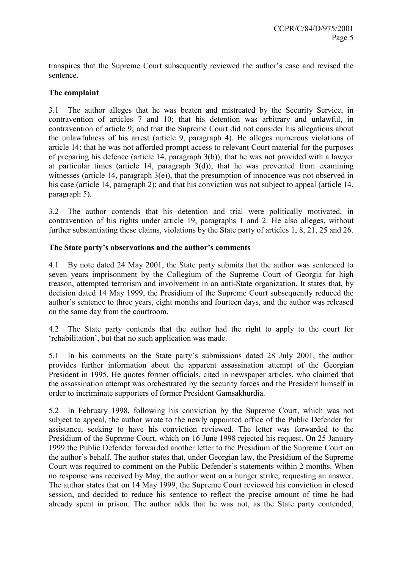transpires that the Supreme Court subsequently reviewed the author's case and revised the sentence.

## The complaint

3.1 The author alleges that he was beaten and mistreated by the Security Service, in contravention of articles 7 and 10; that his detention was arbitrary and unlawful, in contravention of article 9; and that the Supreme Court did not consider his allegations about the unlawfulness of his arrest (article 9, paragraph 4). He alleges numerous violations of article 14: that he was not afforded prompt access to relevant Court material for the purposes of preparing his defence (article 14, paragraph 3(b)); that he was not provided with a lawyer at particular times (article 14, paragraph  $3(d)$ ); that he was prevented from examining witnesses (article 14, paragraph 3(e)), that the presumption of innocence was not observed in his case (article 14, paragraph 2); and that his conviction was not subject to appeal (article 14, paragraph 5).

3.2 The author contends that his detention and trial were politically motivated, in contravention of his rights under article 19, paragraphs 1 and 2. He also alleges, without further substantiating these claims, violations by the State party of articles 1, 8, 21, 25 and 26.

#### The State party's observations and the author's comments

4.1 By note dated 24 May 2001, the State party submits that the author was sentenced to seven years imprisonment by the Collegium of the Supreme Court of Georgia for high treason, attempted terrorism and involvement in an anti-State organization. It states that, by decision dated 14 May 1999, the Presidium of the Supreme Court subsequently reduced the author's sentence to three years, eight months and fourteen days, and the author was released on the same day from the courtroom.

4.2 The State party contends that the author had the right to apply to the court for 'rehabilitation', but that no such application was made.

5.1 In his comments on the State party's submissions dated 28 July 2001, the author provides further information about the apparent assassination attempt of the Georgian President in 1995. He quotes former officials, cited in newspaper articles, who claimed that the assassination attempt was orchestrated by the security forces and the President himself in order to incriminate supporters of former President Gamsakhurdia.

5.2 In February 1998, following his conviction by the Supreme Court, which was not subject to appeal, the author wrote to the newly appointed office of the Public Defender for assistance, seeking to have his conviction reviewed. The letter was forwarded to the Presidium of the Supreme Court, which on 16 June 1998 rejected his request. On 25 January 1999 the Public Defender forwarded another letter to the Presidium of the Supreme Court on the author's behalf. The author states that, under Georgian law, the Presidium of the Supreme Court was required to comment on the Public Defender's statements within 2 months. When no response was received by May, the author went on a hunger strike, requesting an answer. The author states that on 14 May 1999, the Supreme Court reviewed his conviction in closed session, and decided to reduce his sentence to reflect the precise amount of time he had already spent in prison. The author adds that he was not, as the State party contended,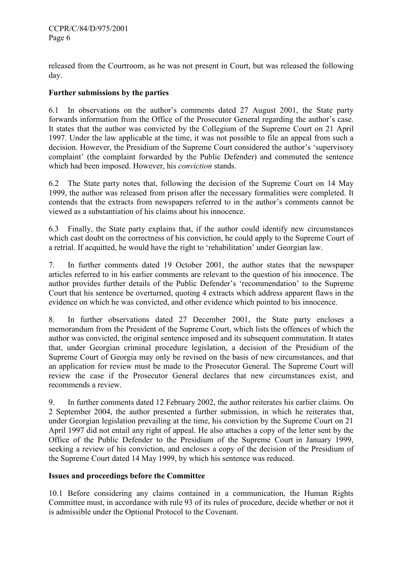released from the Courtroom, as he was not present in Court, but was released the following day.

## Further submissions by the parties

6.1 In observations on the author's comments dated 27 August 2001, the State party forwards information from the Office of the Prosecutor General regarding the author's case. It states that the author was convicted by the Collegium of the Supreme Court on 21 April 1997. Under the law applicable at the time, it was not possible to file an appeal from such a decision. However, the Presidium of the Supreme Court considered the author's 'supervisory complaint' (the complaint forwarded by the Public Defender) and commuted the sentence which had been imposed. However, his *conviction* stands.

6.2 The State party notes that, following the decision of the Supreme Court on 14 May 1999, the author was released from prison after the necessary formalities were completed. It contends that the extracts from newspapers referred to in the author's comments cannot be viewed as a substantiation of his claims about his innocence.

6.3 Finally, the State party explains that, if the author could identify new circumstances which cast doubt on the correctness of his conviction, he could apply to the Supreme Court of a retrial. If acquitted, he would have the right to 'rehabilitation' under Georgian law.

7. In further comments dated 19 October 2001, the author states that the newspaper articles referred to in his earlier comments are relevant to the question of his innocence. The author provides further details of the Public Defender's 'recommendation' to the Supreme Court that his sentence be overturned, quoting 4 extracts which address apparent flaws in the evidence on which he was convicted, and other evidence which pointed to his innocence.

8. In further observations dated 27 December 2001, the State party encloses a memorandum from the President of the Supreme Court, which lists the offences of which the author was convicted, the original sentence imposed and its subsequent commutation. It states that, under Georgian criminal procedure legislation, a decision of the Presidium of the Supreme Court of Georgia may only be revised on the basis of new circumstances, and that an application for review must be made to the Prosecutor General. The Supreme Court will review the case if the Prosecutor General declares that new circumstances exist, and recommends a review.

9. In further comments dated 12 February 2002, the author reiterates his earlier claims. On 2 September 2004, the author presented a further submission, in which he reiterates that, under Georgian legislation prevailing at the time, his conviction by the Supreme Court on 21 April 1997 did not entail any right of appeal. He also attaches a copy of the letter sent by the Office of the Public Defender to the Presidium of the Supreme Court in January 1999, seeking a review of his conviction, and encloses a copy of the decision of the Presidium of the Supreme Court dated 14 May 1999, by which his sentence was reduced.

#### Issues and proceedings before the Committee

10.1 Before considering any claims contained in a communication, the Human Rights Committee must, in accordance with rule 93 of its rules of procedure, decide whether or not it is admissible under the Optional Protocol to the Covenant.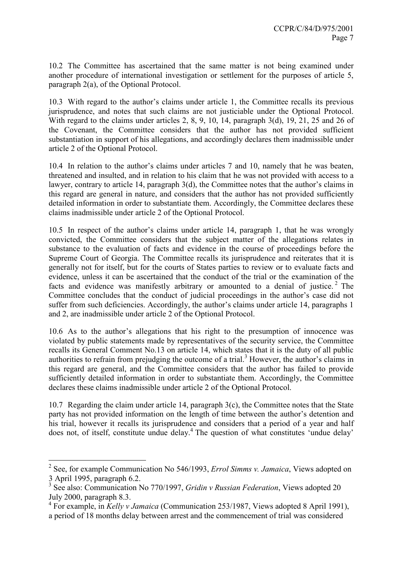10.2 The Committee has ascertained that the same matter is not being examined under another procedure of international investigation or settlement for the purposes of article 5, paragraph 2(a), of the Optional Protocol.

10.3 With regard to the author's claims under article 1, the Committee recalls its previous jurisprudence, and notes that such claims are not justiciable under the Optional Protocol. With regard to the claims under articles 2, 8, 9, 10, 14, paragraph 3(d), 19, 21, 25 and 26 of the Covenant, the Committee considers that the author has not provided sufficient substantiation in support of his allegations, and accordingly declares them inadmissible under article 2 of the Optional Protocol.

10.4 In relation to the author's claims under articles 7 and 10, namely that he was beaten, threatened and insulted, and in relation to his claim that he was not provided with access to a lawyer, contrary to article 14, paragraph 3(d), the Committee notes that the author's claims in this regard are general in nature, and considers that the author has not provided sufficiently detailed information in order to substantiate them. Accordingly, the Committee declares these claims inadmissible under article 2 of the Optional Protocol.

10.5 In respect of the author's claims under article 14, paragraph 1, that he was wrongly convicted, the Committee considers that the subject matter of the allegations relates in substance to the evaluation of facts and evidence in the course of proceedings before the Supreme Court of Georgia. The Committee recalls its jurisprudence and reiterates that it is generally not for itself, but for the courts of States parties to review or to evaluate facts and evidence, unless it can be ascertained that the conduct of the trial or the examination of the facts and evidence was manifestly arbitrary or amounted to a denial of justice.<sup>2</sup> The Committee concludes that the conduct of judicial proceedings in the author's case did not suffer from such deficiencies. Accordingly, the author's claims under article 14, paragraphs 1 and 2, are inadmissible under article 2 of the Optional Protocol.

10.6 As to the author's allegations that his right to the presumption of innocence was violated by public statements made by representatives of the security service, the Committee recalls its General Comment No.13 on article 14, which states that it is the duty of all public authorities to refrain from prejudging the outcome of a trial.<sup>3</sup> However, the author's claims in this regard are general, and the Committee considers that the author has failed to provide sufficiently detailed information in order to substantiate them. Accordingly, the Committee declares these claims inadmissible under article 2 of the Optional Protocol.

10.7 Regarding the claim under article 14, paragraph 3(c), the Committee notes that the State party has not provided information on the length of time between the author's detention and his trial, however it recalls its jurisprudence and considers that a period of a year and half does not, of itself, constitute undue delay.<sup>4</sup> The question of what constitutes 'undue delay'

 $\overline{a}$ 

<sup>&</sup>lt;sup>2</sup> See, for example Communication No 546/1993, *Errol Simms v. Jamaica*, Views adopted on 3 April 1995, paragraph 6.2.

 $3$  See also: Communication No 770/1997, Gridin v Russian Federation, Views adopted 20 July 2000, paragraph 8.3.

<sup>&</sup>lt;sup>4</sup> For example, in Kelly v Jamaica (Communication 253/1987, Views adopted 8 April 1991),

a period of 18 months delay between arrest and the commencement of trial was considered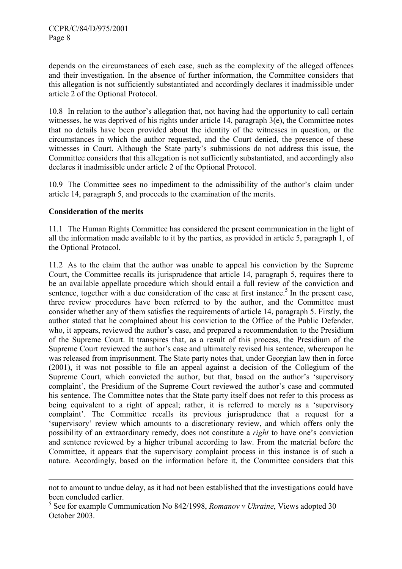depends on the circumstances of each case, such as the complexity of the alleged offences and their investigation. In the absence of further information, the Committee considers that this allegation is not sufficiently substantiated and accordingly declares it inadmissible under article 2 of the Optional Protocol.

10.8 In relation to the author's allegation that, not having had the opportunity to call certain witnesses, he was deprived of his rights under article 14, paragraph 3(e), the Committee notes that no details have been provided about the identity of the witnesses in question, or the circumstances in which the author requested, and the Court denied, the presence of these witnesses in Court. Although the State party's submissions do not address this issue, the Committee considers that this allegation is not sufficiently substantiated, and accordingly also declares it inadmissible under article 2 of the Optional Protocol.

10.9 The Committee sees no impediment to the admissibility of the author's claim under article 14, paragraph 5, and proceeds to the examination of the merits.

#### Consideration of the merits

 $\overline{a}$ 

11.1 The Human Rights Committee has considered the present communication in the light of all the information made available to it by the parties, as provided in article 5, paragraph 1, of the Optional Protocol.

11.2 As to the claim that the author was unable to appeal his conviction by the Supreme Court, the Committee recalls its jurisprudence that article 14, paragraph 5, requires there to be an available appellate procedure which should entail a full review of the conviction and sentence, together with a due consideration of the case at first instance.<sup>5</sup> In the present case, three review procedures have been referred to by the author, and the Committee must consider whether any of them satisfies the requirements of article 14, paragraph 5. Firstly, the author stated that he complained about his conviction to the Office of the Public Defender, who, it appears, reviewed the author's case, and prepared a recommendation to the Presidium of the Supreme Court. It transpires that, as a result of this process, the Presidium of the Supreme Court reviewed the author's case and ultimately revised his sentence, whereupon he was released from imprisonment. The State party notes that, under Georgian law then in force (2001), it was not possible to file an appeal against a decision of the Collegium of the Supreme Court, which convicted the author, but that, based on the author's 'supervisory complaint', the Presidium of the Supreme Court reviewed the author's case and commuted his sentence. The Committee notes that the State party itself does not refer to this process as being equivalent to a right of appeal; rather, it is referred to merely as a 'supervisory complaint'. The Committee recalls its previous jurisprudence that a request for a 'supervisory' review which amounts to a discretionary review, and which offers only the possibility of an extraordinary remedy, does not constitute a right to have one's conviction and sentence reviewed by a higher tribunal according to law. From the material before the Committee, it appears that the supervisory complaint process in this instance is of such a nature. Accordingly, based on the information before it, the Committee considers that this

not to amount to undue delay, as it had not been established that the investigations could have been concluded earlier.

 $5$  See for example Communication No 842/1998, Romanov v Ukraine, Views adopted 30 October 2003.